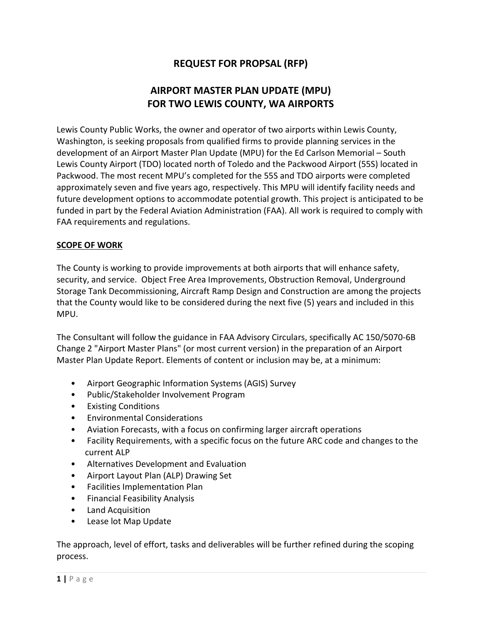# REQUEST FOR PROPSAL (RFP)

# AIRPORT MASTER PLAN UPDATE (MPU) FOR TWO LEWIS COUNTY, WA AIRPORTS

Lewis County Public Works, the owner and operator of two airports within Lewis County, Washington, is seeking proposals from qualified firms to provide planning services in the development of an Airport Master Plan Update (MPU) for the Ed Carlson Memorial – South Lewis County Airport (TDO) located north of Toledo and the Packwood Airport (55S) located in Packwood. The most recent MPU's completed for the 55S and TDO airports were completed approximately seven and five years ago, respectively. This MPU will identify facility needs and future development options to accommodate potential growth. This project is anticipated to be funded in part by the Federal Aviation Administration (FAA). All work is required to comply with FAA requirements and regulations.

#### SCOPE OF WORK

The County is working to provide improvements at both airports that will enhance safety, security, and service. Object Free Area Improvements, Obstruction Removal, Underground Storage Tank Decommissioning, Aircraft Ramp Design and Construction are among the projects that the County would like to be considered during the next five (5) years and included in this MPU.

The Consultant will follow the guidance in FAA Advisory Circulars, specifically AC 150/5070-6B Change 2 "Airport Master Plans" (or most current version) in the preparation of an Airport Master Plan Update Report. Elements of content or inclusion may be, at a minimum:

- Airport Geographic Information Systems (AGIS) Survey
- Public/Stakeholder Involvement Program
- Existing Conditions
- Environmental Considerations
- Aviation Forecasts, with a focus on confirming larger aircraft operations
- Facility Requirements, with a specific focus on the future ARC code and changes to the current ALP
- Alternatives Development and Evaluation
- Airport Layout Plan (ALP) Drawing Set
- Facilities Implementation Plan
- Financial Feasibility Analysis
- Land Acquisition
- Lease lot Map Update

The approach, level of effort, tasks and deliverables will be further refined during the scoping process.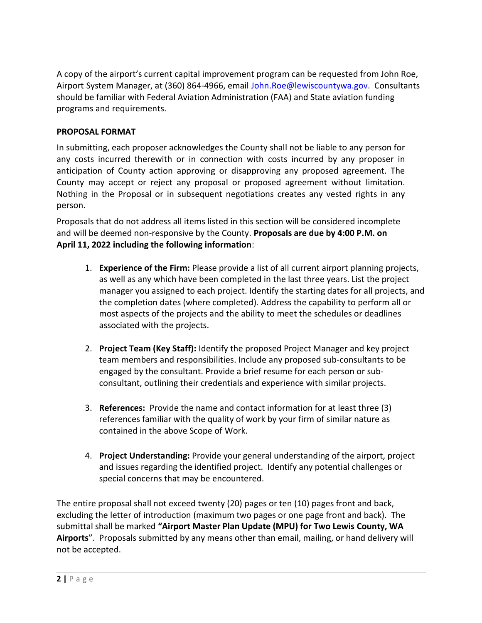A copy of the airport's current capital improvement program can be requested from John Roe, Airport System Manager, at (360) 864-4966, email John.Roe@lewiscountywa.gov. Consultants should be familiar with Federal Aviation Administration (FAA) and State aviation funding programs and requirements.

### PROPOSAL FORMAT

In submitting, each proposer acknowledges the County shall not be liable to any person for any costs incurred therewith or in connection with costs incurred by any proposer in anticipation of County action approving or disapproving any proposed agreement. The County may accept or reject any proposal or proposed agreement without limitation. Nothing in the Proposal or in subsequent negotiations creates any vested rights in any person.

Proposals that do not address all items listed in this section will be considered incomplete and will be deemed non-responsive by the County. Proposals are due by 4:00 P.M. on April 11, 2022 including the following information:

- 1. **Experience of the Firm:** Please provide a list of all current airport planning projects, as well as any which have been completed in the last three years. List the project manager you assigned to each project. Identify the starting dates for all projects, and the completion dates (where completed). Address the capability to perform all or most aspects of the projects and the ability to meet the schedules or deadlines associated with the projects.
- 2. Project Team (Key Staff): Identify the proposed Project Manager and key project team members and responsibilities. Include any proposed sub-consultants to be engaged by the consultant. Provide a brief resume for each person or subconsultant, outlining their credentials and experience with similar projects.
- 3. References: Provide the name and contact information for at least three (3) references familiar with the quality of work by your firm of similar nature as contained in the above Scope of Work.
- 4. Project Understanding: Provide your general understanding of the airport, project and issues regarding the identified project. Identify any potential challenges or special concerns that may be encountered.

The entire proposal shall not exceed twenty (20) pages or ten (10) pages front and back, excluding the letter of introduction (maximum two pages or one page front and back). The submittal shall be marked "Airport Master Plan Update (MPU) for Two Lewis County, WA Airports". Proposals submitted by any means other than email, mailing, or hand delivery will not be accepted.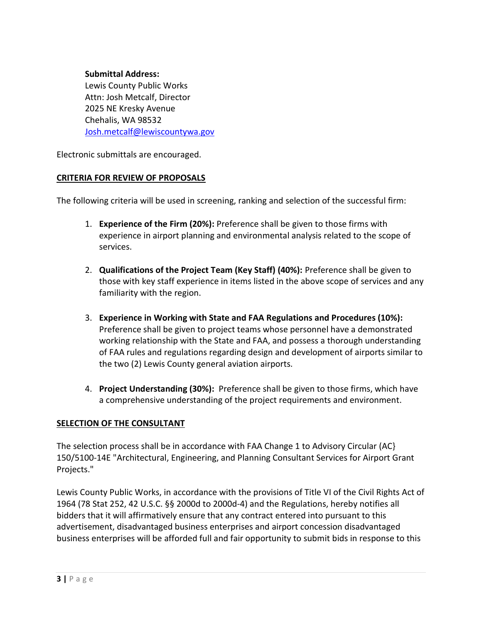#### Submittal Address:

Lewis County Public Works Attn: Josh Metcalf, Director 2025 NE Kresky Avenue Chehalis, WA 98532 Josh.metcalf@lewiscountywa.gov

Electronic submittals are encouraged.

#### CRITERIA FOR REVIEW OF PROPOSALS

The following criteria will be used in screening, ranking and selection of the successful firm:

- 1. **Experience of the Firm (20%):** Preference shall be given to those firms with experience in airport planning and environmental analysis related to the scope of services.
- 2. Qualifications of the Project Team (Key Staff) (40%): Preference shall be given to those with key staff experience in items listed in the above scope of services and any familiarity with the region.
- 3. Experience in Working with State and FAA Regulations and Procedures (10%): Preference shall be given to project teams whose personnel have a demonstrated working relationship with the State and FAA, and possess a thorough understanding of FAA rules and regulations regarding design and development of airports similar to the two (2) Lewis County general aviation airports.
- 4. Project Understanding (30%): Preference shall be given to those firms, which have a comprehensive understanding of the project requirements and environment.

#### SELECTION OF THE CONSULTANT

The selection process shall be in accordance with FAA Change 1 to Advisory Circular (AC} 150/5100-14E "Architectural, Engineering, and Planning Consultant Services for Airport Grant Projects."

Lewis County Public Works, in accordance with the provisions of Title VI of the Civil Rights Act of 1964 (78 Stat 252, 42 U.S.C. §§ 2000d to 2000d-4) and the Regulations, hereby notifies all bidders that it will affirmatively ensure that any contract entered into pursuant to this advertisement, disadvantaged business enterprises and airport concession disadvantaged business enterprises will be afforded full and fair opportunity to submit bids in response to this